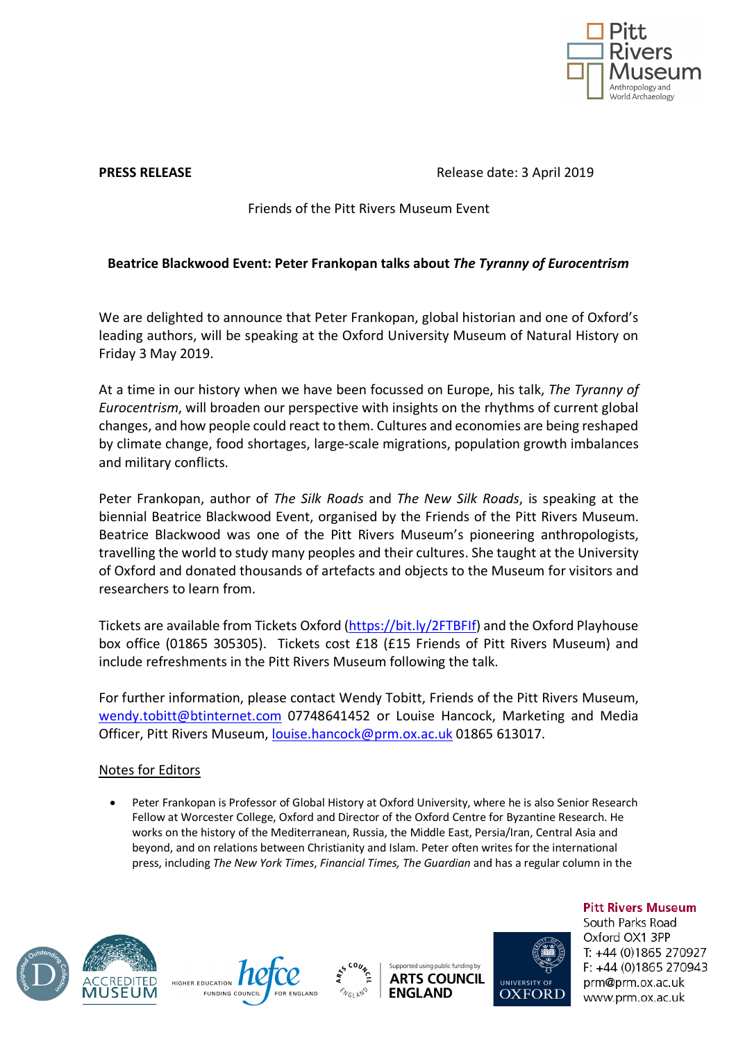

**PRESS RELEASE Release date: 3 April 2019** 

Friends of the Pitt Rivers Museum Event

## **Beatrice Blackwood Event: Peter Frankopan talks about** *The Tyranny of Eurocentrism*

We are delighted to announce that Peter Frankopan, global historian and one of Oxford's leading authors, will be speaking at the Oxford University Museum of Natural History on Friday 3 May 2019.

At a time in our history when we have been focussed on Europe, his talk, *The Tyranny of Eurocentrism*, will broaden our perspective with insights on the rhythms of current global changes, and how people could react to them. Cultures and economies are being reshaped by climate change, food shortages, large-scale migrations, population growth imbalances and military conflicts.

Peter Frankopan, author of *The Silk Roads* and *The New Silk Roads*, is speaking at the biennial Beatrice Blackwood Event, organised by the Friends of the Pitt Rivers Museum. Beatrice Blackwood was one of the Pitt Rivers Museum's pioneering anthropologists, travelling the world to study many peoples and their cultures. She taught at the University of Oxford and donated thousands of artefacts and objects to the Museum for visitors and researchers to learn from.

Tickets are available from Tickets Oxford (https://bit.ly/2FTBFIf) and the Oxford Playhouse box office (01865 305305). Tickets cost £18 (£15 Friends of Pitt Rivers Museum) and include refreshments in the Pitt Rivers Museum following the talk.

For further information, please contact Wendy Tobitt, Friends of the Pitt Rivers Museum, wendy.tobitt@btinternet.com 07748641452 or Louise Hancock, Marketing and Media Officer, Pitt Rivers Museum, louise.hancock@prm.ox.ac.uk 01865 613017.

## Notes for Editors

• Peter Frankopan is Professor of Global History at Oxford University, where he is also Senior Research Fellow at Worcester College, Oxford and Director of the Oxford Centre for Byzantine Research. He works on the history of the Mediterranean, Russia, the Middle East, Persia/Iran, Central Asia and beyond, and on relations between Christianity and Islam. Peter often writes for the international press, including *The New York Times*, *Financial Times, The Guardian* and has a regular column in the







Supported using public funding by **ARTS COUNCIL ENGLAND** 



**Pitt Rivers Museum** South Parks Road Oxford OX1 3PP T: +44 (0)1865 270927  $F. +44(0)1865270943$ prm@prm.ox.ac.uk www.prm.ox.ac.uk